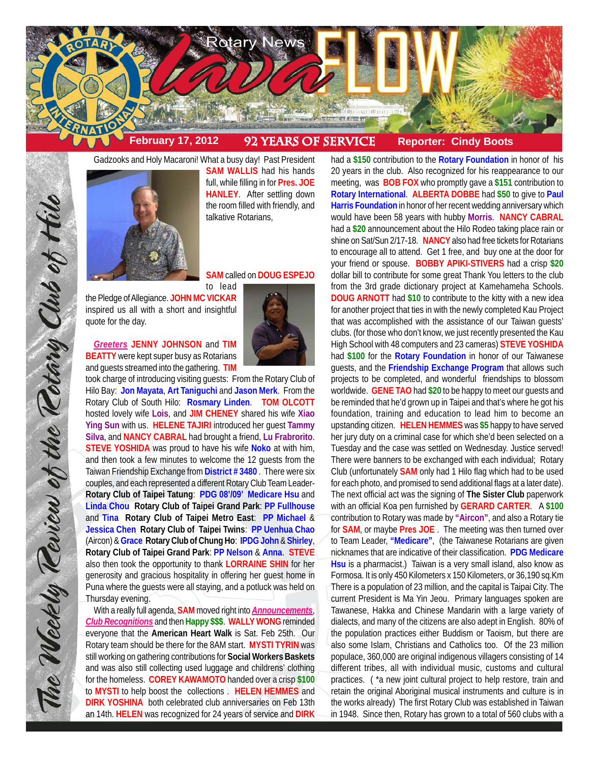

Gadzooks and Holy Macaroni! What a busy day! Past President **SAM WALLIS** had his hands full, while filling in for **Pres. JOE HANLEY**. After settling down the room filled with friendly, and talkative Rotarians,

## **SAM** called on **DOUG ESPEJO**

to lead

the Pledge of Allegiance. **JOHN MC VICKAR** inspired us all with a short and insightful quote for the day.

*Greeters* **JENNY JOHNSON** and **TIM BEATTY** were kept super busy as Rotarians and guests streamed into the gathering. **TIM**

took charge of introducing visiting guests: From the Rotary Club of Hilo Bay: **Jon Mayata**, **Art Taniguchi** and **Jason Merk**. From the Rotary Club of South Hilo: **Rosmary Linden**. **TOM OLCOTT** hosted lovely wife **Lois**, and **JIM CHENEY** shared his wife **Xiao Ying Sun** with us. **HELENE TAJIRI** introduced her guest **Tammy Silva**, and **NANCY CABRAL** had brought a friend, **Lu Frabrorito**. **STEVE YOSHIDA** was proud to have his wife **Noko** at with him, and then took a few minutes to welcome the 12 guests from the Taiwan Friendship Exchange from **District # 3480** . There were six couples, and each represented a different Rotary Club Team Leader-**Rotary Club of Taipei Tatung**: **PDG 08'/09' Medicare Hsu** and **Linda Chou Rotary Club of Taipei Grand Park**: **PP Fullhouse** and **Tina Rotary Club of Taipei Metro East**: **PP Michael** & **Jessica Chen Rotary Club of Taipei Twins**: **PP Uenhua Chao** (Aircon) & **Grace Rotary Club of Chung Ho**: **IPDG John** & **Shirley**, **Rotary Club of Taipei Grand Park**: **PP Nelson** & **Anna**. **STEVE** also then took the opportunity to thank **LORRAINE SHIN** for her generosity and gracious hospitality in offering her guest home in Puna where the guests were all staying, and a potluck was held on Thursday evening.

With a really full agenda, **SAM** moved right into *Announcements*, *Club Recognitions* and then **Happy \$\$\$**. **WALLY WONG** reminded everyone that the **American Heart Walk** is Sat. Feb 25th. Our Rotary team should be there for the 8AM start. **MYSTI TYRIN** was still working on gathering contributions for **Social Workers Baskets** and was also still collecting used luggage and childrens' clothing for the homeless. **COREY KAWAMOTO** handed over a crisp **\$100** to **MYSTI** to help boost the collections . **HELEN HEMMES** and **DIRK YOSHINA** both celebrated club anniversaries on Feb 13th an 14th. **HELEN** was recognized for 24 years of service and **DIRK**

had a **\$150** contribution to the **Rotary Foundation** in honor of his 20 years in the club. Also recognized for his reappearance to our meeting, was **BOB FOX** who promptly gave a **\$151** contribution to **Rotary International**. **ALBERTA DOBBE** had **\$50** to give to **Paul Harris Foundation** in honor of her recent wedding anniversary which would have been 58 years with hubby **Morris**. **NANCY CABRAL** had a **\$20** announcement about the Hilo Rodeo taking place rain or shine on Sat/Sun 2/17-18. **NANCY** also had free tickets for Rotarians to encourage all to attend. Get 1 free, and buy one at the door for your friend or spouse. **BOBBY APIKI-STIVERS** had a crisp **\$20** dollar bill to contribute for some great Thank You letters to the club from the 3rd grade dictionary project at Kamehameha Schools. **DOUG ARNOTT** had **\$10** to contribute to the kitty with a new idea for another project that ties in with the newly completed Kau Project that was accomplished with the assistance of our Taiwan guests' clubs. (for those who don't know, we just recently presented the Kau High School with 48 computers and 23 cameras) **STEVE YOSHIDA** had **\$100** for the **Rotary Foundation** in honor of our Taiwanese guests, and the **Friendship Exchange Program** that allows such projects to be completed, and wonderful friendships to blossom worldwide. **GENE TAO** had **\$20** to be happy to meet our guests and be reminded that he'd grown up in Taipei and that's where he got his foundation, training and education to lead him to become an upstanding citizen. **HELEN HEMMES** was **\$5** happy to have served her jury duty on a criminal case for which she'd been selected on a Tuesday and the case was settled on Wednesday. Justice served! There were banners to be exchanged with each individual; Rotary Club (unfortunately **SAM** only had 1 Hilo flag which had to be used for each photo, and promised to send additional flags at a later date). The next official act was the signing of **The Sister Club** paperwork with an official Koa pen furnished by **GERARD CARTER**. A **\$100** contribution to Rotary was made by **"Aircon"**, and also a Rotary tie for **SAM**, or maybe **Pres JOE** . The meeting was then turned over to Team Leader, **"Medicare"**, (the Taiwanese Rotarians are given nicknames that are indicative of their classification. **PDG Medicare Hsu** is a pharmacist.) Taiwan is a very small island, also know as Formosa. It is only 450 Kilometers x 150 Kilometers, or 36,190 sq.Km There is a population of 23 million, and the capital is Taipai City. The current President is Ma Yin Jeou. Primary languages spoken are Tawanese, Hakka and Chinese Mandarin with a large variety of dialects, and many of the citizens are also adept in English. 80% of the population practices either Buddism or Taoism, but there are also some Islam, Christians and Catholics too. Of the 23 million populace, 360,000 are original indigenous villagers consisting of 14 different tribes, all with individual music, customs and cultural practices. ( \*a new joint cultural project to help restore, train and retain the original Aboriginal musical instruments and culture is in the works already) The first Rotary Club was established in Taiwan in 1948. Since then, Rotary has grown to a total of 560 clubs with a